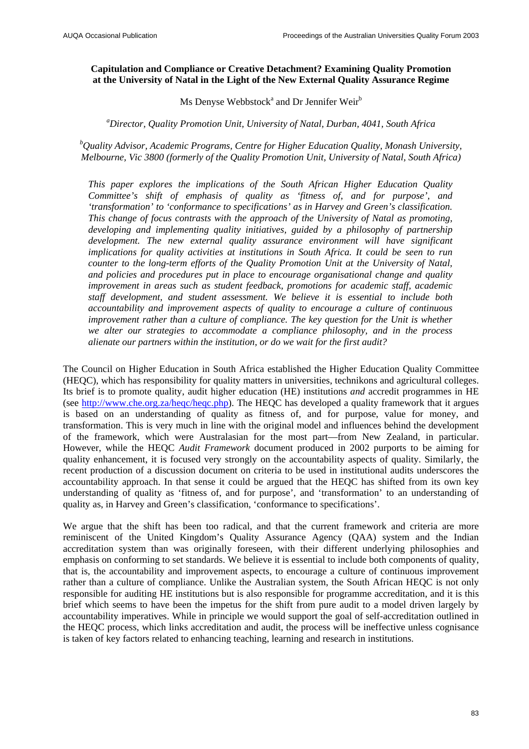## **Capitulation and Compliance or Creative Detachment? Examining Quality Promotion at the University of Natal in the Light of the New External Quality Assurance Regime**

Ms Denyse Webbstock<sup>a</sup> and Dr Jennifer Weir $^b$ 

*a Director, Quality Promotion Unit, University of Natal, Durban, 4041, South Africa* 

*b Quality Advisor, Academic Programs, Centre for Higher Education Quality, Monash University, Melbourne, Vic 3800 (formerly of the Quality Promotion Unit, University of Natal, South Africa)* 

*This paper explores the implications of the South African Higher Education Quality Committee's shift of emphasis of quality as 'fitness of, and for purpose', and 'transformation' to 'conformance to specifications' as in Harvey and Green's classification. This change of focus contrasts with the approach of the University of Natal as promoting, developing and implementing quality initiatives, guided by a philosophy of partnership development. The new external quality assurance environment will have significant implications for quality activities at institutions in South Africa. It could be seen to run counter to the long-term efforts of the Quality Promotion Unit at the University of Natal, and policies and procedures put in place to encourage organisational change and quality improvement in areas such as student feedback, promotions for academic staff, academic staff development, and student assessment. We believe it is essential to include both accountability and improvement aspects of quality to encourage a culture of continuous improvement rather than a culture of compliance. The key question for the Unit is whether we alter our strategies to accommodate a compliance philosophy, and in the process alienate our partners within the institution, or do we wait for the first audit?* 

The Council on Higher Education in South Africa established the Higher Education Quality Committee (HEQC), which has responsibility for quality matters in universities, technikons and agricultural colleges. Its brief is to promote quality, audit higher education (HE) institutions *and* accredit programmes in HE (see [http://www.che.org.za/heqc/heqc.php\)](http://www.che.org.za/heqc/heqc.php). The HEQC has developed a quality framework that it argues is based on an understanding of quality as fitness of, and for purpose, value for money, and transformation. This is very much in line with the original model and influences behind the development of the framework, which were Australasian for the most part—from New Zealand, in particular. However, while the HEQC *Audit Framework* document produced in 2002 purports to be aiming for quality enhancement, it is focused very strongly on the accountability aspects of quality. Similarly, the recent production of a discussion document on criteria to be used in institutional audits underscores the accountability approach. In that sense it could be argued that the HEQC has shifted from its own key understanding of quality as 'fitness of, and for purpose', and 'transformation' to an understanding of quality as, in Harvey and Green's classification, 'conformance to specifications'.

We argue that the shift has been too radical, and that the current framework and criteria are more reminiscent of the United Kingdom's Quality Assurance Agency (QAA) system and the Indian accreditation system than was originally foreseen, with their different underlying philosophies and emphasis on conforming to set standards. We believe it is essential to include both components of quality, that is, the accountability and improvement aspects, to encourage a culture of continuous improvement rather than a culture of compliance. Unlike the Australian system, the South African HEQC is not only responsible for auditing HE institutions but is also responsible for programme accreditation, and it is this brief which seems to have been the impetus for the shift from pure audit to a model driven largely by accountability imperatives. While in principle we would support the goal of self-accreditation outlined in the HEQC process, which links accreditation and audit, the process will be ineffective unless cognisance is taken of key factors related to enhancing teaching, learning and research in institutions.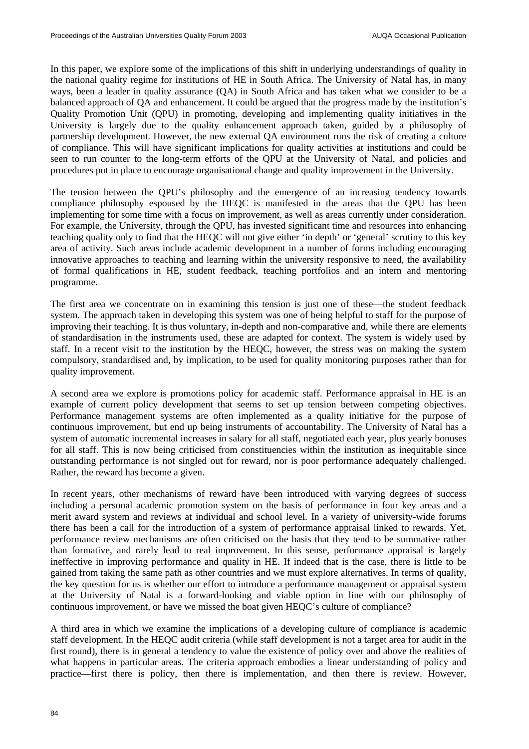In this paper, we explore some of the implications of this shift in underlying understandings of quality in the national quality regime for institutions of HE in South Africa. The University of Natal has, in many ways, been a leader in quality assurance (QA) in South Africa and has taken what we consider to be a balanced approach of QA and enhancement. It could be argued that the progress made by the institution's Quality Promotion Unit (QPU) in promoting, developing and implementing quality initiatives in the University is largely due to the quality enhancement approach taken, guided by a philosophy of partnership development. However, the new external QA environment runs the risk of creating a culture of compliance. This will have significant implications for quality activities at institutions and could be seen to run counter to the long-term efforts of the QPU at the University of Natal, and policies and procedures put in place to encourage organisational change and quality improvement in the University.

The tension between the QPU's philosophy and the emergence of an increasing tendency towards compliance philosophy espoused by the HEQC is manifested in the areas that the QPU has been implementing for some time with a focus on improvement, as well as areas currently under consideration. For example, the University, through the QPU, has invested significant time and resources into enhancing teaching quality only to find that the HEQC will not give either 'in depth' or 'general' scrutiny to this key area of activity. Such areas include academic development in a number of forms including encouraging innovative approaches to teaching and learning within the university responsive to need, the availability of formal qualifications in HE, student feedback, teaching portfolios and an intern and mentoring programme.

The first area we concentrate on in examining this tension is just one of these—the student feedback system. The approach taken in developing this system was one of being helpful to staff for the purpose of improving their teaching. It is thus voluntary, in-depth and non-comparative and, while there are elements of standardisation in the instruments used, these are adapted for context. The system is widely used by staff. In a recent visit to the institution by the HEQC, however, the stress was on making the system compulsory, standardised and, by implication, to be used for quality monitoring purposes rather than for quality improvement.

A second area we explore is promotions policy for academic staff. Performance appraisal in HE is an example of current policy development that seems to set up tension between competing objectives. Performance management systems are often implemented as a quality initiative for the purpose of continuous improvement, but end up being instruments of accountability. The University of Natal has a system of automatic incremental increases in salary for all staff, negotiated each year, plus yearly bonuses for all staff. This is now being criticised from constituencies within the institution as inequitable since outstanding performance is not singled out for reward, nor is poor performance adequately challenged. Rather, the reward has become a given.

In recent years, other mechanisms of reward have been introduced with varying degrees of success including a personal academic promotion system on the basis of performance in four key areas and a merit award system and reviews at individual and school level. In a variety of university-wide forums there has been a call for the introduction of a system of performance appraisal linked to rewards. Yet, performance review mechanisms are often criticised on the basis that they tend to be summative rather than formative, and rarely lead to real improvement. In this sense, performance appraisal is largely ineffective in improving performance and quality in HE. If indeed that is the case, there is little to be gained from taking the same path as other countries and we must explore alternatives. In terms of quality, the key question for us is whether our effort to introduce a performance management or appraisal system at the University of Natal is a forward-looking and viable option in line with our philosophy of continuous improvement, or have we missed the boat given HEQC's culture of compliance?

A third area in which we examine the implications of a developing culture of compliance is academic staff development. In the HEQC audit criteria (while staff development is not a target area for audit in the first round), there is in general a tendency to value the existence of policy over and above the realities of what happens in particular areas. The criteria approach embodies a linear understanding of policy and practice—first there is policy, then there is implementation, and then there is review. However,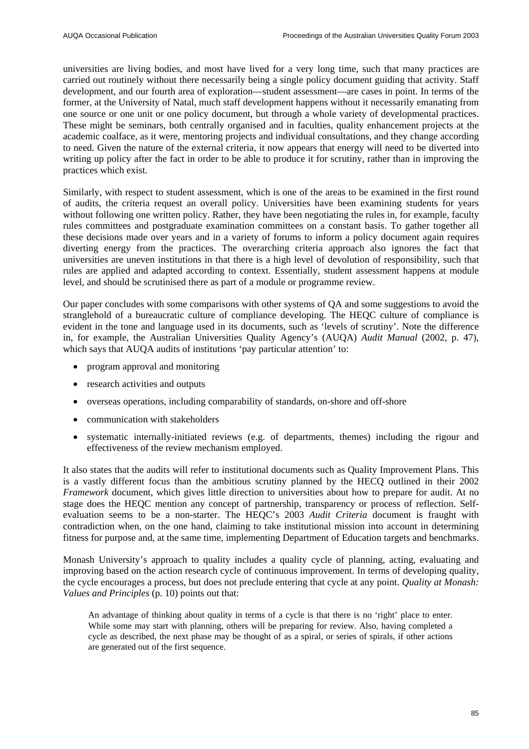universities are living bodies, and most have lived for a very long time, such that many practices are carried out routinely without there necessarily being a single policy document guiding that activity. Staff development, and our fourth area of exploration—student assessment—are cases in point. In terms of the former, at the University of Natal, much staff development happens without it necessarily emanating from one source or one unit or one policy document, but through a whole variety of developmental practices. These might be seminars, both centrally organised and in faculties, quality enhancement projects at the academic coalface, as it were, mentoring projects and individual consultations, and they change according to need. Given the nature of the external criteria, it now appears that energy will need to be diverted into writing up policy after the fact in order to be able to produce it for scrutiny, rather than in improving the practices which exist.

Similarly, with respect to student assessment, which is one of the areas to be examined in the first round of audits, the criteria request an overall policy. Universities have been examining students for years without following one written policy. Rather, they have been negotiating the rules in, for example, faculty rules committees and postgraduate examination committees on a constant basis. To gather together all these decisions made over years and in a variety of forums to inform a policy document again requires diverting energy from the practices. The overarching criteria approach also ignores the fact that universities are uneven institutions in that there is a high level of devolution of responsibility, such that rules are applied and adapted according to context. Essentially, student assessment happens at module level, and should be scrutinised there as part of a module or programme review.

Our paper concludes with some comparisons with other systems of QA and some suggestions to avoid the stranglehold of a bureaucratic culture of compliance developing. The HEQC culture of compliance is evident in the tone and language used in its documents, such as 'levels of scrutiny'. Note the difference in, for example, the Australian Universities Quality Agency's (AUQA) *Audit Manual* (2002, p. 47), which says that AUQA audits of institutions 'pay particular attention' to:

- program approval and monitoring
- research activities and outputs
- overseas operations, including comparability of standards, on-shore and off-shore
- communication with stakeholders
- systematic internally-initiated reviews (e.g. of departments, themes) including the rigour and effectiveness of the review mechanism employed.

It also states that the audits will refer to institutional documents such as Quality Improvement Plans. This is a vastly different focus than the ambitious scrutiny planned by the HECQ outlined in their 2002 *Framework* document, which gives little direction to universities about how to prepare for audit. At no stage does the HEQC mention any concept of partnership, transparency or process of reflection. Selfevaluation seems to be a non-starter. The HEQC's 2003 *Audit Criteria* document is fraught with contradiction when, on the one hand, claiming to take institutional mission into account in determining fitness for purpose and, at the same time, implementing Department of Education targets and benchmarks.

Monash University's approach to quality includes a quality cycle of planning, acting, evaluating and improving based on the action research cycle of continuous improvement. In terms of developing quality, the cycle encourages a process, but does not preclude entering that cycle at any point. *Quality at Monash: Values and Principles* (p. 10) points out that:

An advantage of thinking about quality in terms of a cycle is that there is no 'right' place to enter. While some may start with planning, others will be preparing for review. Also, having completed a cycle as described, the next phase may be thought of as a spiral, or series of spirals, if other actions are generated out of the first sequence.